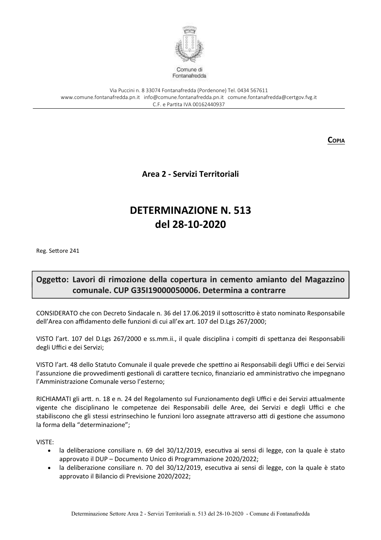

Via Puccini n. 8 33074 Fontanafredda (Pordenone) Tel. 0434 567611 www.comune.fontanafredda.pn.it info@comune.fontanafredda.pn.it comune.fontanafredda@certgov.fyg.it C.F. e Partita IVA 00162440937

**COPIA** 

Area 2 - Servizi Territoriali

## **DETERMINAZIONE N. 513** del 28-10-2020

Reg. Settore 241

## Oggetto: Lavori di rimozione della copertura in cemento amianto del Magazzino comunale. CUP G35119000050006. Determina a contrarre

CONSIDERATO che con Decreto Sindacale n. 36 del 17.06.2019 il sottoscritto è stato nominato Responsabile dell'Area con affidamento delle funzioni di cui all'ex art. 107 del D.Lgs 267/2000;

VISTO l'art. 107 del D.Lgs 267/2000 e ss.mm.ii., il quale disciplina i compiti di spettanza dei Responsabili degli Uffici e dei Servizi;

VISTO l'art. 48 dello Statuto Comunale il quale prevede che spettino ai Responsabili degli Uffici e dei Servizi l'assunzione die provvedimenti gestionali di carattere tecnico, finanziario ed amministrativo che impegnano l'Amministrazione Comunale verso l'esterno;

RICHIAMATI gli artt. n. 18 e n. 24 del Regolamento sul Funzionamento degli Uffici e dei Servizi attualmente vigente che disciplinano le competenze dei Responsabili delle Aree, dei Servizi e degli Uffici e che stabiliscono che gli stessi estrinsechino le funzioni loro assegnate attraverso atti di gestione che assumono la forma della "determinazione";

VISTE:

- · la deliberazione consiliare n. 69 del 30/12/2019, esecutiva ai sensi di legge, con la quale è stato approvato il DUP - Documento Unico di Programmazione 2020/2022;
- la deliberazione consiliare n. 70 del 30/12/2019, esecutiva ai sensi di legge, con la quale è stato approvato il Bilancio di Previsione 2020/2022;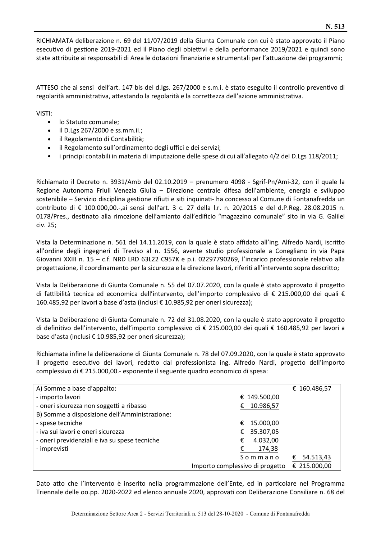RICHIAMATA deliberazione n. 69 del 11/07/2019 della Giunta Comunale con cui è stato approvato il Piano esecutivo di gestione 2019-2021 ed il Piano degli obiettivi e della performance 2019/2021 e quindi sono state attribuite ai responsabili di Area le dotazioni finanziarie e strumentali per l'attuazione dei programmi;

ATTESO che ai sensi dell'art. 147 bis del d.lgs. 267/2000 e s.m.i. è stato eseguito il controllo preventivo di regolarità amministrativa, attestando la regolarità e la correttezza dell'azione amministrativa.

VISTI:

- lo Statuto comunale;
- $\bullet$  il D.Lgs 267/2000 e ss.mm.ii.;
- il Regolamento di Contabilità;  $\bullet$
- · il Regolamento sull'ordinamento degli uffici e dei servizi;
- i principi contabili in materia di imputazione delle spese di cui all'allegato 4/2 del D.Lgs 118/2011;

Richiamato il Decreto n. 3931/Amb del 02.10.2019 – prenumero 4098 - Sgrif-Pn/Ami-32, con il quale la Regione Autonoma Friuli Venezia Giulia – Direzione centrale difesa dell'ambiente, energia e sviluppo sostenibile - Servizio disciplina gestione rifiuti e siti inquinati- ha concesso al Comune di Fontanafredda un contributo di € 100.000,00.-,ai sensi dell'art. 3 c. 27 della l.r. n. 20/2015 e del d.P.Reg. 28.08.2015 n. 0178/Pres., destinato alla rimozione dell'amianto dall'edificio "magazzino comunale" sito in via G. Galilei civ. 25;

Vista la Determinazione n. 561 del 14.11.2019, con la quale è stato affidato all'ing. Alfredo Nardi, iscritto all'ordine degli ingegneri di Treviso al n. 1556, avente studio professionale a Conegliano in via Papa Giovanni XXIII n. 15 - c.f. NRD LRD 63L22 C957K e p.i. 02297790269, l'incarico professionale relativo alla progettazione, il coordinamento per la sicurezza e la direzione lavori, riferiti all'intervento sopra descritto;

Vista la Deliberazione di Giunta Comunale n. 55 del 07.07.2020, con la quale è stato approvato il progetto di fattibilità tecnica ed economica dell'intervento, dell'importo complessivo di € 215.000,00 dei quali € 160.485,92 per lavori a base d'asta (inclusi € 10.985,92 per oneri sicurezza);

Vista la Deliberazione di Giunta Comunale n. 72 del 31.08.2020, con la quale è stato approvato il progetto di definitivo dell'intervento, dell'importo complessivo di € 215.000,00 dei quali € 160.485,92 per lavori a base d'asta (inclusi € 10.985,92 per oneri sicurezza);

Richiamata infine la deliberazione di Giunta Comunale n. 78 del 07.09.2020, con la quale è stato approvato il progetto esecutivo dei lavori, redatto dal professionista ing. Alfredo Nardi, progetto dell'importo complessivo di € 215.000,00.- esponente il seguente quadro economico di spesa:

| A) Somme a base d'appalto:                    | € 160.486,57                                    |
|-----------------------------------------------|-------------------------------------------------|
| - importo lavori                              | € 149.500,00                                    |
| - oneri sicurezza non soggetti a ribasso      | 10.986,57<br>€                                  |
| B) Somme a disposizione dell'Amministrazione: |                                                 |
| - spese tecniche                              | 15.000,00<br>€                                  |
| - iva sui lavori e oneri sicurezza            | 35.307,05<br>€                                  |
| - oneri previdenziali e iva su spese tecniche | 4.032,00<br>€                                   |
| - imprevisti                                  | 174,38<br>€                                     |
|                                               | 54.513,43<br>Sommano<br>€                       |
|                                               | € 215.000,00<br>Importo complessivo di progetto |

Dato atto che l'intervento è inserito nella programmazione dell'Ente, ed in particolare nel Programma Triennale delle oo.pp. 2020-2022 ed elenco annuale 2020, approvati con Deliberazione Consiliare n. 68 del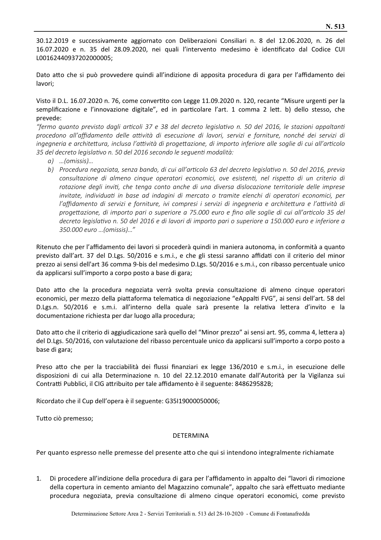30.12.2019 e successivamente aggiornato con Deliberazioni Consiliari n. 8 del 12.06.2020, n. 26 del 16.07.2020 e n. 35 del 28.09.2020, nei quali l'intervento medesimo è identificato dal Codice CUI L00162440937202000005;

Dato atto che si può provvedere quindi all'indizione di apposita procedura di gara per l'affidamento dei lavori;

Visto il D.L. 16.07.2020 n. 76, come convertito con Legge 11.09.2020 n. 120, recante "Misure urgenti per la semplificazione e l'innovazione digitale", ed in particolare l'art. 1 comma 2 lett. b) dello stesso, che prevede:

"fermo quanto previsto dagli articoli 37 e 38 del decreto legislativo n. 50 del 2016, le stazioni appaltanti procedono all'affidamento delle attività di esecuzione di lavori, servizi e forniture, nonché dei servizi di ingegneria e architettura, inclusa l'attività di progettazione, di importo inferiore alle soglie di cui all'articolo 35 del decreto legislativo n. 50 del 2016 secondo le seguenti modalità:

- $a)$  ...(omissis)...
- b) Procedura negoziata, senza bando, di cui all'articolo 63 del decreto legislativo n. 50 del 2016, previa consultazione di almeno cinque operatori economici, ove esistenti, nel rispetto di un criterio di rotazione degli inviti, che tenga conto anche di una diversa dislocazione territoriale delle imprese invitate, individuati in base ad indagini di mercato o tramite elenchi di operatori economici, per l'affidamento di servizi e forniture, ivi compresi i servizi di ingegneria e architettura e l'attività di progettazione, di importo pari o superiore a 75.000 euro e fino alle soglie di cui all'articolo 35 del decreto legislativo n. 50 del 2016 e di lavori di importo pari o superiore a 150.000 euro e inferiore a 350.000 euro ... (omissis)..."

Ritenuto che per l'affidamento dei lavori si procederà quindi in maniera autonoma, in conformità a quanto previsto dall'art. 37 del D.Lgs. 50/2016 e s.m.i., e che gli stessi saranno affidati con il criterio del minor prezzo ai sensi dell'art 36 comma 9-bis del medesimo D.Lgs. 50/2016 e s.m.i., con ribasso percentuale unico da applicarsi sull'importo a corpo posto a base di gara;

Dato atto che la procedura negoziata verrà svolta previa consultazione di almeno cinque operatori economici, per mezzo della piattaforma telematica di negoziazione "eAppalti FVG", ai sensi dell'art. 58 del D.Lgs.n. 50/2016 e s.m.i. all'interno della quale sarà presente la relativa lettera d'invito e la documentazione richiesta per dar luogo alla procedura;

Dato atto che il criterio di aggiudicazione sarà quello del "Minor prezzo" ai sensi art. 95, comma 4, lettera a) del D.Lgs. 50/2016, con valutazione del ribasso percentuale unico da applicarsi sull'importo a corpo posto a base di gara;

Preso atto che per la tracciabilità dei flussi finanziari ex legge 136/2010 e s.m.i., in esecuzione delle disposizioni di cui alla Determinazione n. 10 del 22.12.2010 emanate dall'Autorità per la Vigilanza sui Contratti Pubblici, il CIG attribuito per tale affidamento è il seguente: 848629582B;

Ricordato che il Cup dell'opera è il seguente: G35I19000050006;

Tutto ciò premesso;

## **DETERMINA**

Per quanto espresso nelle premesse del presente atto che qui si intendono integralmente richiamate

Di procedere all'indizione della procedura di gara per l'affidamento in appalto dei "lavori di rimozione"  $1_{-}$ della copertura in cemento amianto del Magazzino comunale", appalto che sarà effettuato mediante procedura negoziata, previa consultazione di almeno cinque operatori economici, come previsto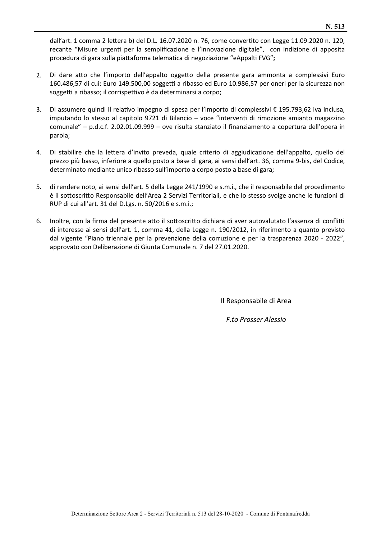dall'art. 1 comma 2 lettera b) del D.L. 16.07.2020 n. 76, come convertito con Legge 11.09.2020 n. 120, recante "Misure urgenti per la semplificazione e l'innovazione digitale", con indizione di apposita procedura di gara sulla piattaforma telematica di negoziazione "eAppalti FVG";

- $2.$ Di dare atto che l'importo dell'appalto oggetto della presente gara ammonta a complessivi Euro 160.486,57 di cui: Euro 149.500,00 soggetti a ribasso ed Euro 10.986,57 per oneri per la sicurezza non soggetti a ribasso; il corrispettivo è da determinarsi a corpo;
- $3<sub>1</sub>$ Di assumere quindi il relativo impegno di spesa per l'importo di complessivi € 195.793.62 iva inclusa. imputando lo stesso al capitolo 9721 di Bilancio - voce "interventi di rimozione amianto magazzino comunale" - p.d.c.f. 2.02.01.09.999 - ove risulta stanziato il finanziamento a copertura dell'opera in parola;
- 4. Di stabilire che la lettera d'invito preveda, quale criterio di aggiudicazione dell'appalto, quello del prezzo più basso, inferiore a quello posto a base di gara, ai sensi dell'art. 36, comma 9-bis, del Codice, determinato mediante unico ribasso sull'importo a corpo posto a base di gara;
- $5.$ di rendere noto, ai sensi dell'art. 5 della Legge 241/1990 e s.m.i., che il responsabile del procedimento è il sottoscritto Responsabile dell'Area 2 Servizi Territoriali, e che lo stesso svolge anche le funzioni di RUP di cui all'art. 31 del D.Lgs. n. 50/2016 e s.m.i.;
- 6. Inoltre, con la firma del presente atto il sottoscritto dichiara di aver autovalutato l'assenza di conflitti di interesse ai sensi dell'art. 1, comma 41, della Legge n. 190/2012, in riferimento a quanto previsto dal vigente "Piano triennale per la prevenzione della corruzione e per la trasparenza 2020 - 2022", approvato con Deliberazione di Giunta Comunale n. 7 del 27.01.2020.

Il Responsabile di Area

**F.to Prosser Alessio**